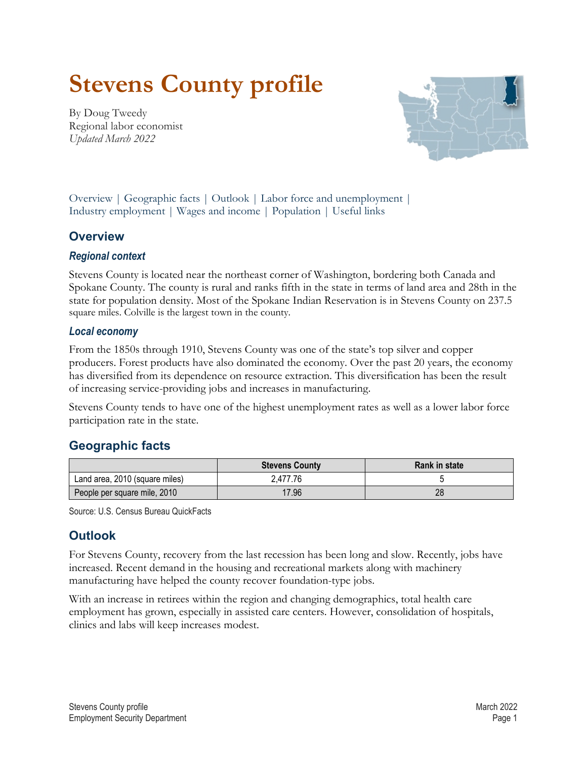# **Stevens County profile**

<span id="page-0-2"></span>By Doug Tweedy Regional labor economist *Updated March 2022*



Overview | [Geographic facts](#page-0-0) | [Outlook](#page-0-1) | [Labor force and unemployment |](#page-1-0) [Industry employment |](#page-1-1) [Wages and income](#page-2-0) | [Population](#page-2-1) | [Useful links](#page-3-0)

## **Overview**

#### *Regional context*

Stevens County is located near the northeast corner of Washington, bordering both Canada and Spokane County. The county is rural and ranks fifth in the state in terms of land area and 28th in the state for population density. Most of the Spokane Indian Reservation is in Stevens County on 237.5 square miles. Colville is the largest town in the county.

#### *Local economy*

From the 1850s through 1910, Stevens County was one of the state's top silver and copper producers. Forest products have also dominated the economy. Over the past 20 years, the economy has diversified from its dependence on resource extraction. This diversification has been the result of increasing service-providing jobs and increases in manufacturing.

Stevens County tends to have one of the highest unemployment rates as well as a lower labor force participation rate in the state.

# <span id="page-0-0"></span>**[Geographic facts](#page-0-2)**

|                                | <b>Stevens County</b> | <b>Rank in state</b> |
|--------------------------------|-----------------------|----------------------|
| Land area, 2010 (square miles) | 2.477.76              |                      |
| People per square mile, 2010   | 17.96                 | 28                   |

Source: U.S. Census Bureau QuickFacts

## <span id="page-0-1"></span>**[Outlook](#page-0-2)**

For Stevens County, recovery from the last recession has been long and slow. Recently, jobs have increased. Recent demand in the housing and recreational markets along with machinery manufacturing have helped the county recover foundation-type jobs.

With an increase in retirees within the region and changing demographics, total health care employment has grown, especially in assisted care centers. However, consolidation of hospitals, clinics and labs will keep increases modest.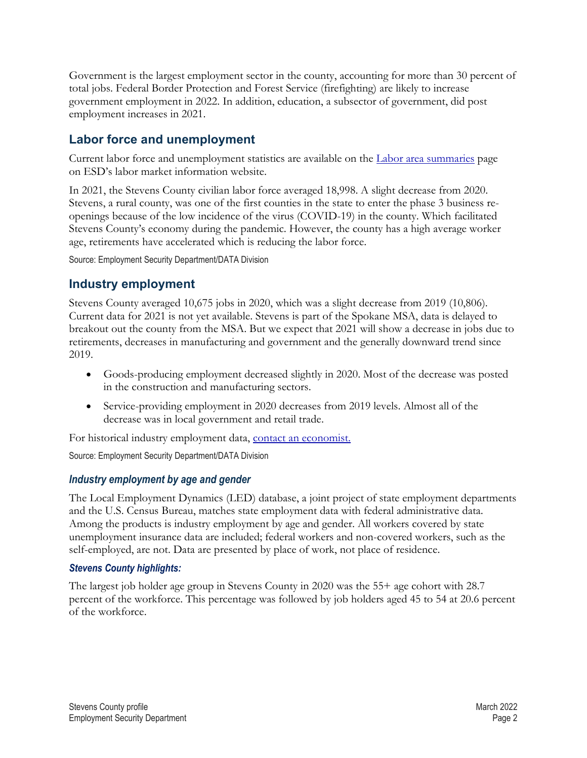Government is the largest employment sector in the county, accounting for more than 30 percent of total jobs. Federal Border Protection and Forest Service (firefighting) are likely to increase government employment in 2022. In addition, education, a subsector of government, did post employment increases in 2021.

## <span id="page-1-0"></span>**[Labor force and unemployment](#page-0-2)**

Current labor force and unemployment statistics are available on the [Labor area summaries](https://esd.wa.gov/labormarketinfo/labor-area-summaries) page on ESD's labor market information website.

In 2021, the Stevens County civilian labor force averaged 18,998. A slight decrease from 2020. Stevens, a rural county, was one of the first counties in the state to enter the phase 3 business reopenings because of the low incidence of the virus (COVID-19) in the county. Which facilitated Stevens County's economy during the pandemic. However, the county has a high average worker age, retirements have accelerated which is reducing the labor force.

Source: Employment Security Department/DATA Division

## <span id="page-1-1"></span>**[Industry employment](#page-0-2)**

Stevens County averaged 10,675 jobs in 2020, which was a slight decrease from 2019 (10,806). Current data for 2021 is not yet available. Stevens is part of the Spokane MSA, data is delayed to breakout out the county from the MSA. But we expect that 2021 will show a decrease in jobs due to retirements, decreases in manufacturing and government and the generally downward trend since 2019.

- Goods-producing employment decreased slightly in 2020. Most of the decrease was posted in the construction and manufacturing sectors.
- Service-providing employment in 2020 decreases from 2019 levels. Almost all of the decrease was in local government and retail trade.

For historical industry employment data, [contact an economist.](mailto:Dtweedy@esd.wa.gov)

Source: Employment Security Department/DATA Division

#### *Industry employment by age and gender*

The Local Employment Dynamics (LED) database, a joint project of state employment departments and the U.S. Census Bureau, matches state employment data with federal administrative data. Among the products is industry employment by age and gender. All workers covered by state unemployment insurance data are included; federal workers and non-covered workers, such as the self-employed, are not. Data are presented by place of work, not place of residence.

#### *Stevens County highlights:*

The largest job holder age group in Stevens County in 2020 was the 55+ age cohort with 28.7 percent of the workforce. This percentage was followed by job holders aged 45 to 54 at 20.6 percent of the workforce.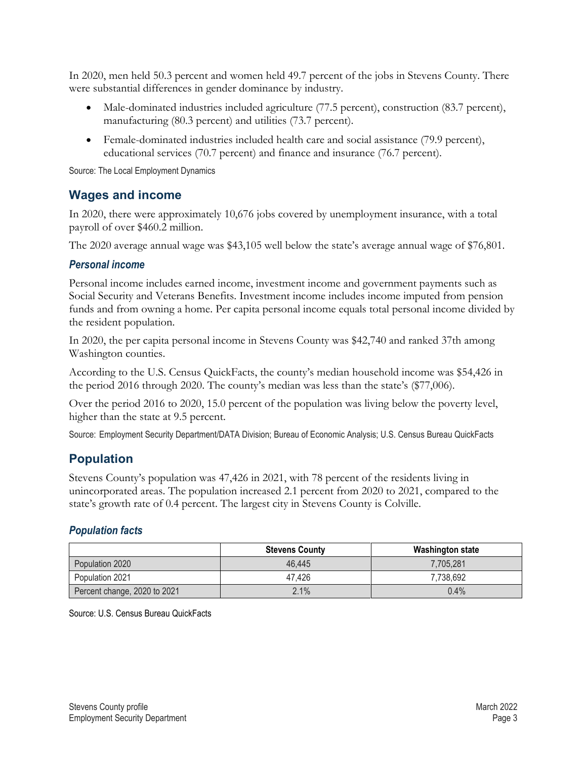In 2020, men held 50.3 percent and women held 49.7 percent of the jobs in Stevens County. There were substantial differences in gender dominance by industry.

- Male-dominated industries included agriculture (77.5 percent), construction (83.7 percent), manufacturing (80.3 percent) and utilities (73.7 percent).
- Female-dominated industries included health care and social assistance (79.9 percent), educational services (70.7 percent) and finance and insurance (76.7 percent).

Source: The Local Employment Dynamics

### <span id="page-2-0"></span>**[Wages and income](#page-0-2)**

In 2020, there were approximately 10,676 jobs covered by unemployment insurance, with a total payroll of over \$460.2 million.

The 2020 average annual wage was \$43,105 well below the state's average annual wage of \$76,801.

#### *Personal income*

Personal income includes earned income, investment income and government payments such as Social Security and Veterans Benefits. Investment income includes income imputed from pension funds and from owning a home. Per capita personal income equals total personal income divided by the resident population.

In 2020, the per capita personal income in Stevens County was \$42,740 and ranked 37th among Washington counties.

According to the U.S. Census QuickFacts, the county's median household income was \$54,426 in the period 2016 through 2020. The county's median was less than the state's (\$77,006).

Over the period 2016 to 2020, 15.0 percent of the population was living below the poverty level, higher than the state at 9.5 percent.

Source: Employment Security Department/DATA Division; Bureau of Economic Analysis; U.S. Census Bureau QuickFacts

## <span id="page-2-1"></span>**[Population](#page-0-2)**

Stevens County's population was 47,426 in 2021, with 78 percent of the residents living in unincorporated areas. The population increased 2.1 percent from 2020 to 2021, compared to the state's growth rate of 0.4 percent. The largest city in Stevens County is Colville.

#### *Population facts*

|                              | <b>Stevens County</b> | Washington state |
|------------------------------|-----------------------|------------------|
| Population 2020              | 46.445                | 7,705,281        |
| Population 2021              | 47.426                | 7,738,692        |
| Percent change, 2020 to 2021 | 2.1%                  | 0.4%             |

Source: U.S. Census Bureau QuickFacts